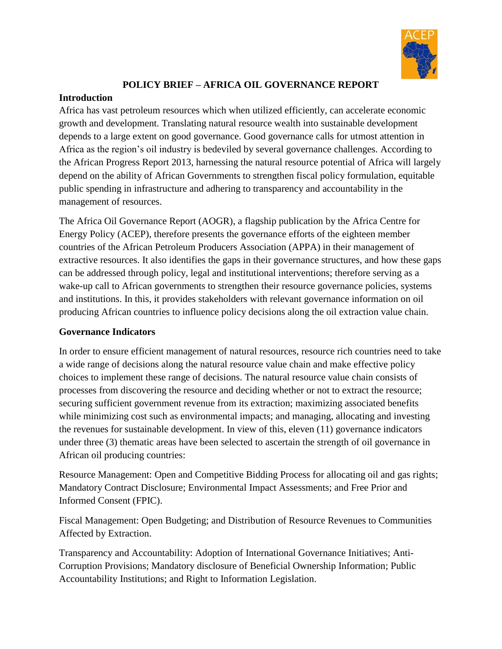

# **POLICY BRIEF – AFRICA OIL GOVERNANCE REPORT**

#### **Introduction**

Africa has vast petroleum resources which when utilized efficiently, can accelerate economic growth and development. Translating natural resource wealth into sustainable development depends to a large extent on good governance. Good governance calls for utmost attention in Africa as the region's oil industry is bedeviled by several governance challenges. According to the African Progress Report 2013, harnessing the natural resource potential of Africa will largely depend on the ability of African Governments to strengthen fiscal policy formulation, equitable public spending in infrastructure and adhering to transparency and accountability in the management of resources.

The Africa Oil Governance Report (AOGR), a flagship publication by the Africa Centre for Energy Policy (ACEP), therefore presents the governance efforts of the eighteen member countries of the African Petroleum Producers Association (APPA) in their management of extractive resources. It also identifies the gaps in their governance structures, and how these gaps can be addressed through policy, legal and institutional interventions; therefore serving as a wake-up call to African governments to strengthen their resource governance policies, systems and institutions. In this, it provides stakeholders with relevant governance information on oil producing African countries to influence policy decisions along the oil extraction value chain.

## **Governance Indicators**

In order to ensure efficient management of natural resources, resource rich countries need to take a wide range of decisions along the natural resource value chain and make effective policy choices to implement these range of decisions. The natural resource value chain consists of processes from discovering the resource and deciding whether or not to extract the resource; securing sufficient government revenue from its extraction; maximizing associated benefits while minimizing cost such as environmental impacts; and managing, allocating and investing the revenues for sustainable development. In view of this, eleven (11) governance indicators under three (3) thematic areas have been selected to ascertain the strength of oil governance in African oil producing countries:

Resource Management: Open and Competitive Bidding Process for allocating oil and gas rights; Mandatory Contract Disclosure; Environmental Impact Assessments; and Free Prior and Informed Consent (FPIC).

Fiscal Management: Open Budgeting; and Distribution of Resource Revenues to Communities Affected by Extraction.

Transparency and Accountability: Adoption of International Governance Initiatives; Anti-Corruption Provisions; Mandatory disclosure of Beneficial Ownership Information; Public Accountability Institutions; and Right to Information Legislation.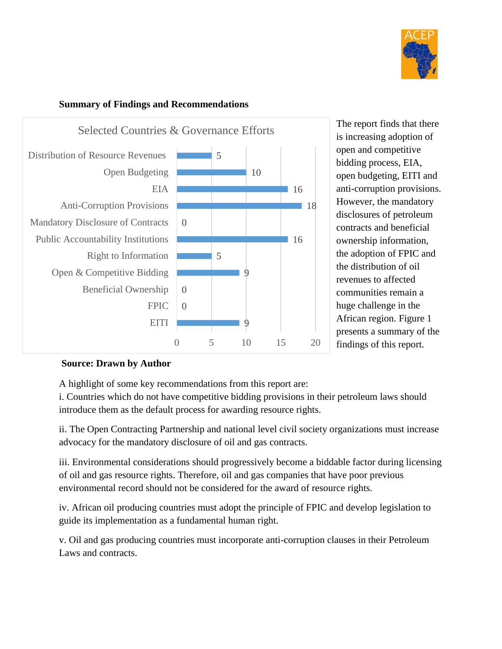



#### **Summary of Findings and Recommendations**

## **Source: Drawn by Author**

A highlight of some key recommendations from this report are:

i. Countries which do not have competitive bidding provisions in their petroleum laws should introduce them as the default process for awarding resource rights.

ii. The Open Contracting Partnership and national level civil society organizations must increase advocacy for the mandatory disclosure of oil and gas contracts.

iii. Environmental considerations should progressively become a biddable factor during licensing of oil and gas resource rights. Therefore, oil and gas companies that have poor previous environmental record should not be considered for the award of resource rights.

iv. African oil producing countries must adopt the principle of FPIC and develop legislation to guide its implementation as a fundamental human right.

v. Oil and gas producing countries must incorporate anti-corruption clauses in their Petroleum Laws and contracts.